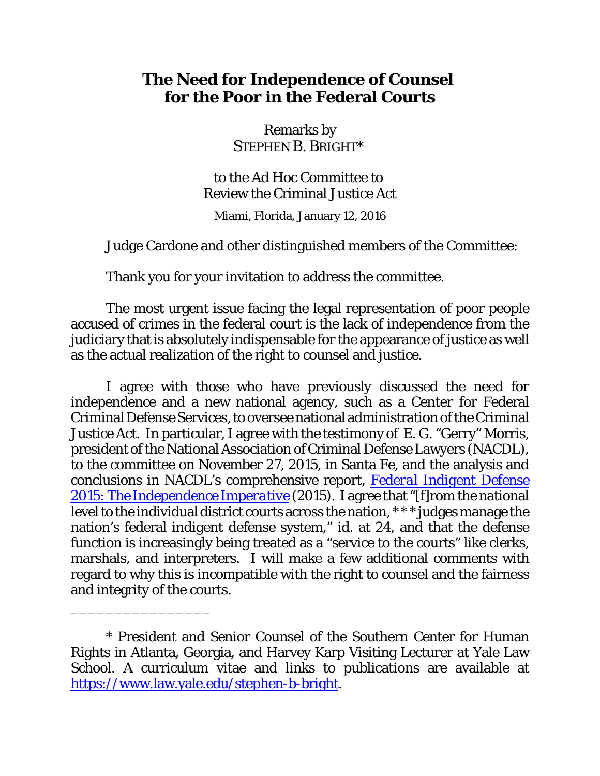# **The Need for Independence of Counsel for the Poor in the Federal Courts**

Remarks by STEPHEN B. BRIGHT\*

to the Ad Hoc Committee to Review the Criminal Justice Act Miami, Florida, January 12, 2016

Judge Cardone and other distinguished members of the Committee:

Thank you for your invitation to address the committee.

The most urgent issue facing the legal representation of poor people accused of crimes in the federal court is the lack of independence from the judiciary that is absolutely indispensable for the appearance of justice as well as the actual realization of the right to counsel and justice.

I agree with those who have previously discussed the need for independence and a new national agency, such as a Center for Federal Criminal Defense Services, to oversee national administration of the Criminal Justice Act. In particular, I agree with the testimony of E. G. "Gerry" Morris, president of the National Association of Criminal Defense Lawyers (NACDL), to the committee on November 27, 2015, in Santa Fe, and the analysis and conclusions in NACDL's comprehensive report, *[Federal Indigent](http://www.nacdl.org/federalindigentdefense2015) Defense [2015: The Independence Imperative](http://www.nacdl.org/federalindigentdefense2015)* (2015). I agree that "[f]rom the national level to the individual district courts across the nation, \* \* \* judges manage the nation's federal indigent defense system," *id*. at 24, and that the defense function is increasingly being treated as a "service to the courts" like clerks, marshals, and interpreters. I will make a few additional comments with regard to why this is incompatible with the right to counsel and the fairness and integrity of the courts.

\_\_\_\_\_\_\_\_\_\_\_\_\_\_\_\_

<sup>\*</sup> President and Senior Counsel of the Southern Center for Human Rights in Atlanta, Georgia, and Harvey Karp Visiting Lecturer at Yale Law School. A curriculum vitae and links to publications are available at <https://www.law.yale.edu/stephen-b-bright>.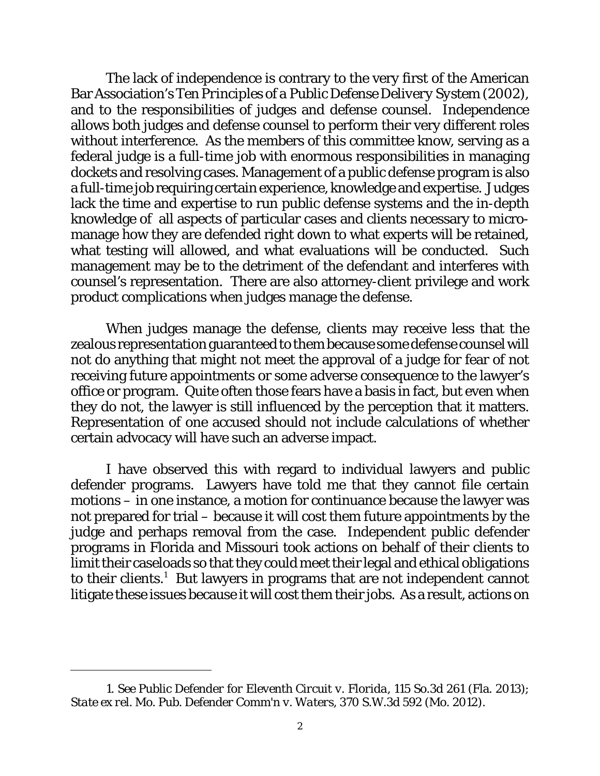The lack of independence is contrary to the very first of the American Bar Association's *Ten Principles of a Public Defense Delivery System* (2002), and to the responsibilities of judges and defense counsel. Independence allows both judges and defense counsel to perform their very different roles without interference. As the members of this committee know, serving as a federal judge is a full-time job with enormous responsibilities in managing dockets and resolving cases. Management of a public defense program is also a full-time job requiring certain experience, knowledge and expertise. Judges lack the time and expertise to run public defense systems and the in-depth knowledge of all aspects of particular cases and clients necessary to micromanage how they are defended right down to what experts will be retained, what testing will allowed, and what evaluations will be conducted. Such management may be to the detriment of the defendant and interferes with counsel's representation. There are also attorney-client privilege and work product complications when judges manage the defense.

When judges manage the defense, clients may receive less that the zealous representation guaranteed to them because some defense counsel will not do anything that might not meet the approval of a judge for fear of not receiving future appointments or some adverse consequence to the lawyer's office or program. Quite often those fears have a basis in fact, but even when they do not, the lawyer is still influenced by the perception that it matters. Representation of one accused should not include calculations of whether certain advocacy will have such an adverse impact.

I have observed this with regard to individual lawyers and public defender programs. Lawyers have told me that they cannot file certain motions – in one instance, a motion for continuance because the lawyer was not prepared for trial – because it will cost them future appointments by the judge and perhaps removal from the case. Independent public defender programs in Florida and Missouri took actions on behalf of their clients to limit their caseloads so that they could meet their legal and ethical obligations to their clients. $^1$  But lawyers in programs that are not independent cannot litigate these issues because it will cost them their jobs. As a result, actions on

<sup>1.</sup> *See Public Defender for Eleventh Circuit v. Florida*, 115 So.3d 261 (Fla. 2013); *State ex rel. Mo. Pub. Defender Comm'n v. Waters*, 370 S.W.3d 592 (Mo. 2012).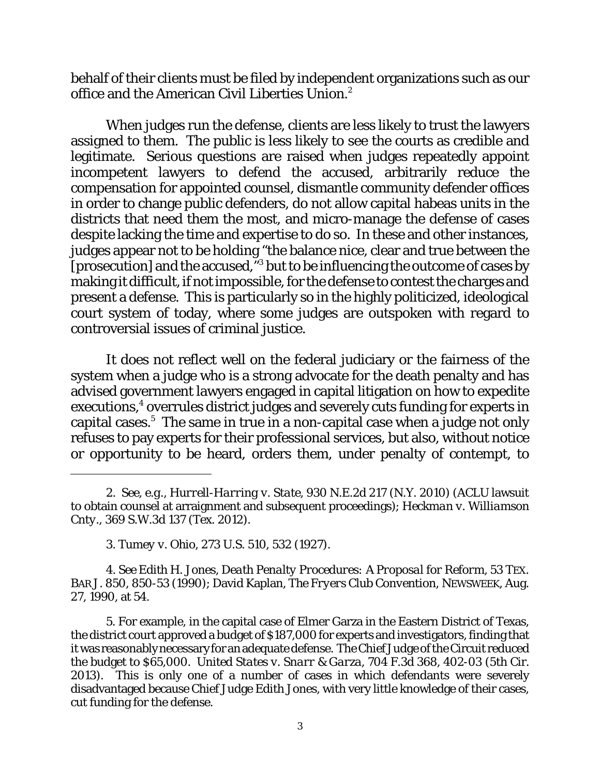behalf of their clients must be filed by independent organizations such as our office and the American Civil Liberties Union.<sup>2</sup>

When judges run the defense, clients are less likely to trust the lawyers assigned to them. The public is less likely to see the courts as credible and legitimate. Serious questions are raised when judges repeatedly appoint incompetent lawyers to defend the accused, arbitrarily reduce the compensation for appointed counsel, dismantle community defender offices in order to change public defenders, do not allow capital habeas units in the districts that need them the most, and micro-manage the defense of cases despite lacking the time and expertise to do so. In these and other instances, judges appear not to be holding "the balance nice, clear and true between the [prosecution] and the accused," 3 but to be influencing the outcome of cases by making it difficult, if not impossible, for the defense to contest the charges and present a defense. This is particularly so in the highly politicized, ideological court system of today, where some judges are outspoken with regard to controversial issues of criminal justice.

It does not reflect well on the federal judiciary or the fairness of the system when a judge who is a strong advocate for the death penalty and has advised government lawyers engaged in capital litigation on how to expedite executions, 4 overrules district judges and severely cuts funding for experts in capital cases. <sup>5</sup> The same in true in a non-capital case when a judge not only refuses to pay experts for their professional services, but also, without notice or opportunity to be heard, orders them, under penalty of contempt, to

4. *See* Edith H. Jones, *Death Penalty Procedures: A Proposal for Reform*, 53 TEX. BAR J. 850, 850-53 (1990); David Kaplan, *The Fryers Club Convention*, NEWSWEEK, Aug. 27, 1990, at 54.

5. For example, in the capital case of Elmer Garza in the Eastern District of Texas, the district court approved a budget of \$187,000 for experts and investigators, finding that it was reasonably necessary for an adequate defense. The Chief Judge of the Circuit reduced the budget to \$65,000. *United States v. Snarr & Garza*, 704 F.3d 368, 402-03 (5th Cir. 2013). This is only one of a number of cases in which defendants were severely disadvantaged because Chief Judge Edith Jones, with very little knowledge of their cases, cut funding for the defense.

<sup>2.</sup> *See*, *e.g.*, *Hurrell-Harring v. State*, 930 N.E.2d 217 (N.Y. 2010) (ACLU lawsuit to obtain counsel at arraignment and subsequent proceedings); *Heckman v. Williamson Cnty*., 369 S.W.3d 137 (Tex. 2012).

<sup>3.</sup> *Tumey v. Ohio*, 273 U.S. 510, 532 (1927).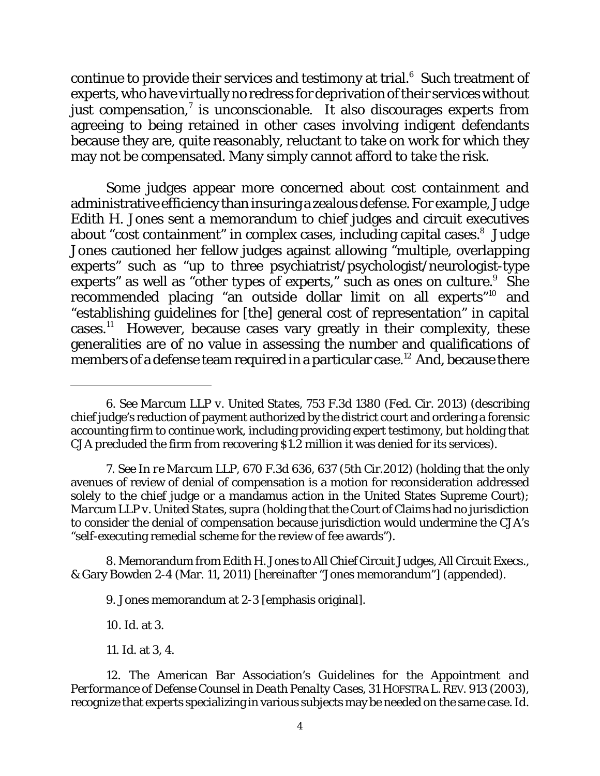continue to provide their services and testimony at trial. $^6\,$  Such treatment of experts, who have virtuallyno redress for deprivation of their services without just compensation, $^7$  is unconscionable. It also discourages experts from agreeing to being retained in other cases involving indigent defendants because they are, quite reasonably, reluctant to take on work for which they may not be compensated. Many simply cannot afford to take the risk.

Some judges appear more concerned about cost containment and administrative efficiency than insuring a zealous defense. For example, Judge Edith H. Jones sent a memorandum to chief judges and circuit executives about "cost containment" in complex cases, including capital cases.<sup>8</sup> Judge Jones cautioned her fellow judges against allowing "multiple, overlapping experts" such as "up to three psychiatrist/psychologist/neurologist-type experts" as well as "other *types* of experts," such as ones on culture.<sup>9</sup> She recommended placing "an outside dollar limit on all experts"<sup>10</sup> and "establishing guidelines for [the] general cost of representation" in capital cases. <sup>11</sup> However, because cases vary greatly in their complexity, these generalities are of no value in assessing the number and qualifications of members of a defense team required in a particular case. <sup>12</sup> And, because there

8. Memorandum from Edith H. Jones to All Chief Circuit Judges, All Circuit Execs., & Gary Bowden 2-4 (Mar. 11, 2011) [hereinafter "Jones memorandum"] (appended).

9. Jones memorandum at 2-3 [emphasis original].

10. *Id*. at 3.

11. *Id.* at 3, 4.

<sup>6.</sup> *See Marcum LLP v. United States*, 753 F.3d 1380 (Fed. Cir. 2013) (describing chief judge's reduction of payment authorized by the district court and ordering a forensic accounting firm to continue work, including providing expert testimony, but holding that CJA precluded the firm from recovering \$1.2 million it was denied for its services).

<sup>7.</sup> *See In re Marcum LLP*, 670 F.3d 636, 637 (5th Cir.2012) (holding that the only avenues of review of denial of compensation is a motion for reconsideration addressed solely to the chief judge or a mandamus action in the United States Supreme Court); *Marcum LLP v. United States*, *supra* (holding that the Court of Claims had no jurisdiction to consider the denial of compensation because jurisdiction would undermine the CJA's "self-executing remedial scheme for the review of fee awards").

<sup>12.</sup> The American Bar Association's *Guidelines for the Appointment and Performance of Defense Counsel in Death Penalty Cases*, 31 HOFSTRA L. REV. 913 (2003), recognize that experts specializing in various subjects may be needed on the same case. *Id*.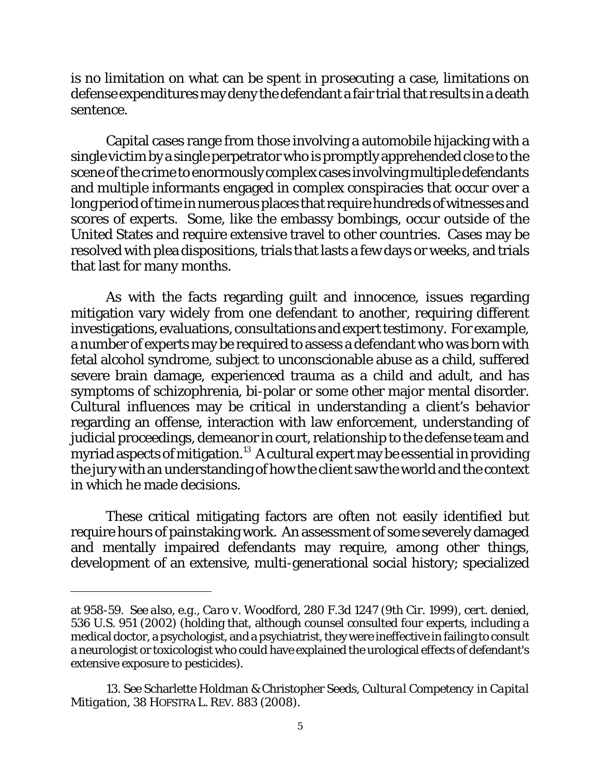is no limitation on what can be spent in *prosecuting* a case, limitations on defense expenditures may deny the defendant a fair trial that results in a death sentence.

Capital cases range from those involving a automobile hijacking with a single victim by a single perpetrator who is promptly apprehended close to the scene of the crime to enormously complex cases involving multiple defendants and multiple informants engaged in complex conspiracies that occur over a long period of time in numerous places that require hundreds of witnesses and scores of experts. Some, like the embassy bombings, occur outside of the United States and require extensive travel to other countries. Cases may be resolved with plea dispositions, trials that lasts a few days or weeks, and trials that last for many months.

As with the facts regarding guilt and innocence, issues regarding mitigation vary widely from one defendant to another, requiring different investigations, evaluations, consultations and expert testimony. For example, a number of experts may be required to assess a defendant who was born with fetal alcohol syndrome, subject to unconscionable abuse as a child, suffered severe brain damage, experienced trauma as a child and adult, and has symptoms of schizophrenia, bi-polar or some other major mental disorder. Cultural influences may be critical in understanding a client's behavior regarding an offense, interaction with law enforcement, understanding of judicial proceedings, demeanor in court, relationship to the defense team and myriad aspects of mitigation.<sup>13</sup> A cultural expert may be essential in providing the jury with an understanding of how the client saw the world and the context in which he made decisions.

These critical mitigating factors are often not easily identified but require hours of painstaking work. An assessment of some severely damaged and mentally impaired defendants may require, among other things, development of an extensive, multi-generational social history; specialized

at 958-59. *See also*, *e.g.*, *Caro v. Woodford*, 280 F.3d 1247 (9th Cir. 1999), *cert. denied*, 536 U.S. 951 (2002) (holding that, although counsel consulted four experts, including a medical doctor, a psychologist, and a psychiatrist, they were ineffective in failing to consult a neurologist or toxicologist who could have explained the urological effects of defendant's extensive exposure to pesticides).

<sup>13.</sup> *See* Scharlette Holdman & Christopher Seeds, *Cultural Competency in Capital Mitigation*, 38 HOFSTRA L. REV. 883 (2008).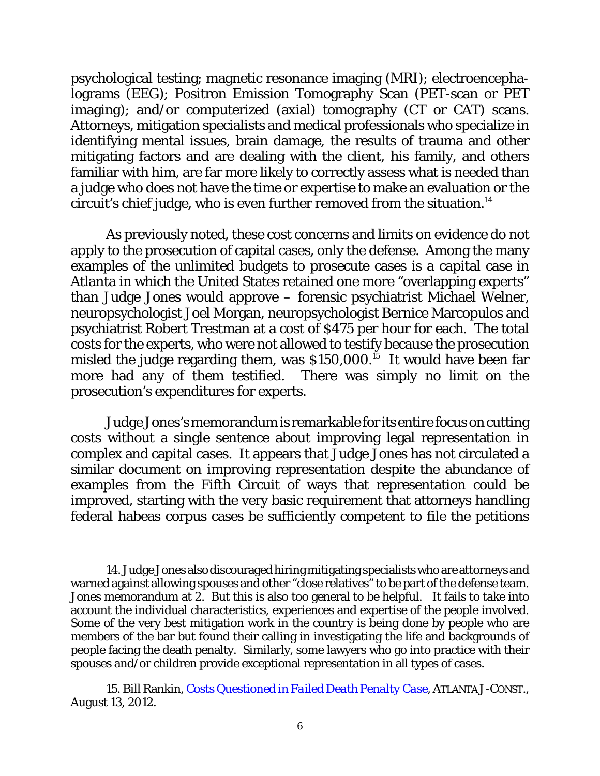psychological testing; magnetic resonance imaging (MRI); electroencephalograms (EEG); Positron Emission Tomography Scan (PET-scan or PET imaging); and/or computerized (axial) tomography (CT or CAT) scans. Attorneys, mitigation specialists and medical professionals who specialize in identifying mental issues, brain damage, the results of trauma and other mitigating factors and are dealing with the client, his family, and others familiar with him, are far more likely to correctly assess what is needed than a judge who does not have the time or expertise to make an evaluation or the circuit's chief judge, who is even further removed from the situation. $^{14}$ 

As previously noted, these cost concerns and limits on evidence do not apply to the prosecution of capital cases, only the defense. Among the many examples of the unlimited budgets to prosecute cases is a capital case in Atlanta in which the United States retained one more "overlapping experts" than Judge Jones would approve – forensic psychiatrist Michael Welner, neuropsychologist Joel Morgan, neuropsychologist Bernice Marcopulos and psychiatrist Robert Trestman at a cost of \$475 per hour for each. The total costs for the experts, who were not allowed to testify because the prosecution misled the judge regarding them, was \$150,000. $^{15}\,$  It would have been far more had any of them testified. There was simply no limit on the prosecution's expenditures for experts.

Judge Jones's memorandum is remarkable for its entire focus on cutting costs without a single sentence about improving legal representation in complex and capital cases. It appears that Judge Jones has not circulated a similar document on improving representation despite the abundance of examples from the Fifth Circuit of ways that representation could be improved, starting with the very basic requirement that attorneys handling federal habeas corpus cases be sufficiently competent to file the petitions

<sup>14.</sup> Judge Jones also discouraged hiring mitigating specialists who are attorneys and warned against allowing spouses and other "close relatives" to be part of the defense team. Jones memorandum at 2. But this is also too general to be helpful. It fails to take into account the individual characteristics, experiences and expertise of the people involved. Some of the very best mitigation work in the country is being done by people who are members of the bar but found their calling in investigating the life and backgrounds of people facing the death penalty. Similarly, some lawyers who go into practice with their spouses and/or children provide exceptional representation in all types of cases.

<sup>15.</sup> Bill Rankin, *Costs Questioned in Failed [Death Penalty Case](http://www.ajc.com/news/news/local/costs-questioned-in-failed-death-penalty-case-1/nRBbs/)*, ATLANTAJ-CONST., August 13, 2012.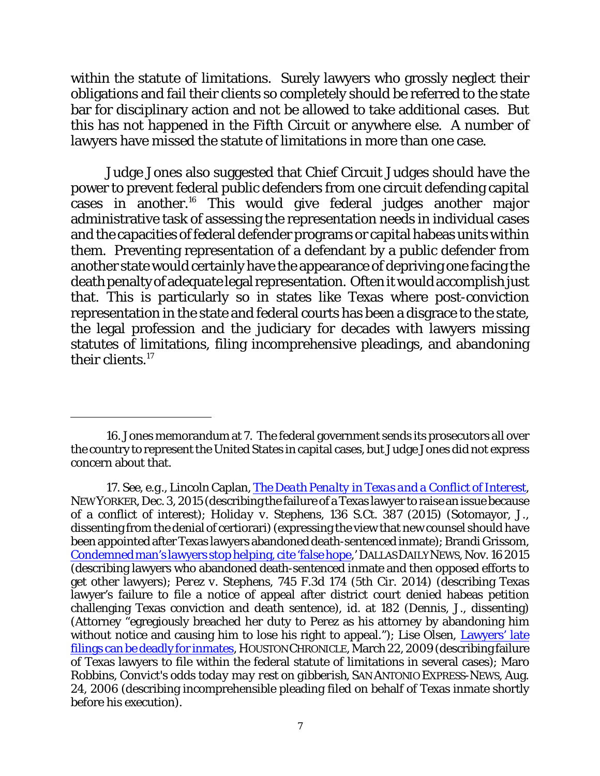within the statute of limitations. Surely lawyers who grossly neglect their obligations and fail their clients so completely should be referred to the state bar for disciplinary action and not be allowed to take additional cases. But this has not happened in the Fifth Circuit or anywhere else. A number of lawyers have missed the statute of limitations in more than one case.

Judge Jones also suggested that Chief Circuit Judges should have the power to prevent federal public defenders from one circuit defending capital cases in another.<sup>16</sup> This would give federal judges another major administrative task of assessing the representation needs in individual cases and the capacities of federal defender programs or capital habeas units within them. Preventing representation of a defendant by a public defender from another state would certainly have the appearance of depriving one facing the death penalty of adequate legal representation. Often it would accomplish just that. This is particularly so in states like Texas where post-conviction representation in the state and federal courts has been a disgrace to the state, the legal profession and the judiciary for decades with lawyers missing statutes of limitations, filing incomprehensive pleadings, and abandoning their clients. 17

<sup>16.</sup> Jones memorandum at 7. The federal government sends its prosecutors all over the country to represent the United States in capital cases, but Judge Jones did not express concern about that.

<sup>17.</sup> *See*, *e.g.*, Lincoln Caplan, *[The Death Penalty in Texas and](http://www.newyorker.com/news/news-desk/the-death-penalty-in-texas-and-a-conflict-of-interest?intcid=mod-latest) a Conflict of Interest*, NEWYORKER, Dec. 3, 2015 (describing the failure of a Texas lawyer to raise an issue because of a conflict of interest); *Holiday v. Stephens*, 136 S.Ct. 387 (2015) (Sotomayor, J., dissenting from the denial of certiorari)(expressing the view that new counsel should have been appointed after Texas lawyers abandoned death-sentenced inmate); Brandi Grissom, [Condemned man's lawyers stop helping, cite](http://www.dallasnews.com/news/state/headlines/20151116-condemned-mans-lawyers-stop-helping-cite-false-hope.ece) 'false hope,' DALLASDAILYNEWS, Nov. 16 2015 (describing lawyers who abandoned death-sentenced inmate and then opposed efforts to get other lawyers); *Perez v. Stephens*, 745 F.3d 174 (5th Cir. 2014) (describing Texas lawyer's failure to file a notice of appeal after district court denied habeas petition challenging Texas conviction and death sentence), *id*. at 182 (Dennis, J., dissenting) (Attorney "egregiously breached her duty to Perez as his attorney by abandoning him without notice and causing him to lose his right to appeal."); Lise Olsen, [Lawyers' late](http://www.chron.com/news/houston-texas/article/Slow-paperwork-in-death-row-cases-ends-final-1736308.php) [filings can be deadly for inmates](http://www.chron.com/news/houston-texas/article/Slow-paperwork-in-death-row-cases-ends-final-1736308.php), HOUSTONCHRONICLE, March 22, 2009 (describing failure of Texas lawyers to file within the federal statute of limitations in several cases); Maro Robbins, *Convict's odds today may rest on gibberish*, SAN ANTONIO EXPRESS-NEWS, Aug. 24, 2006 (describing incomprehensible pleading filed on behalf of Texas inmate shortly before his execution).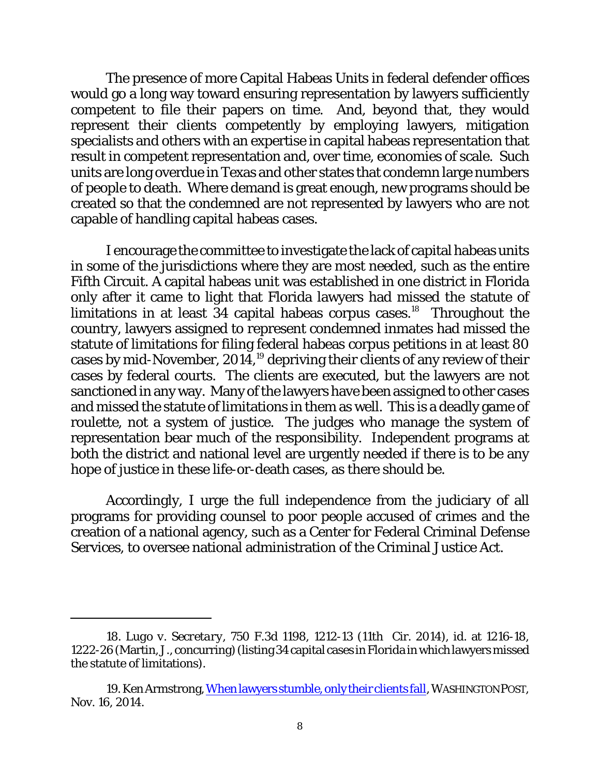The presence of more Capital Habeas Units in federal defender offices would go a long way toward ensuring representation by lawyers sufficiently competent to file their papers on time. And, beyond that, they would represent their clients competently by employing lawyers, mitigation specialists and others with an expertise in capital habeas representation that result in competent representation and, over time, economies of scale. Such units are long overdue in Texas and other states that condemn large numbers of people to death. Where demand is great enough, new programs should be created so that the condemned are not represented by lawyers who are not capable of handling capital habeas cases.

I encourage the committee to investigate the lack of capital habeas units in some of the jurisdictions where they are most needed, such as the entire Fifth Circuit. A capital habeas unit was established in one district in Florida only after it came to light that Florida lawyers had missed the statute of limitations in at least  $34$  capital habeas corpus cases.<sup>18</sup> Throughout the country, lawyers assigned to represent condemned inmates had missed the statute of limitations for filing federal habeas corpus petitions in at least 80 cases by mid-November,  $2014$ ,<sup>19</sup> depriving their clients of any review of their cases by federal courts. The clients are executed, but the lawyers are not sanctioned in any way. Many of the lawyers have been assigned to other cases and missed the statute of limitations in them as well. This is a deadly game of roulette, not a system of justice. The judges who manage the system of representation bear much of the responsibility. Independent programs at both the district and national level are urgently needed if there is to be any hope of justice in these life-or-death cases, as there should be.

Accordingly, I urge the full independence from the judiciary of all programs for providing counsel to poor people accused of crimes and the creation of a national agency, such as a Center for Federal Criminal Defense Services, to oversee national administration of the Criminal Justice Act.

<sup>18.</sup> *Lugo v. Secretary*, 750 F.3d 1198, 1212-13 (11th Cir. 2014), *id*. at 1216-18, 1222-26 (Martin, J., concurring)(listing 34capital cases in Florida in which lawyers missed the statute of limitations).

<sup>19.</sup> Ken Armstrong, [When lawyers](http://www.washingtonpost.com/sf/national/2014/11/16/when-lawyers-stumble-only-their-clients-fall/) stumble, only their clients fall, WASHINGTONPOST, Nov. 16, 2014.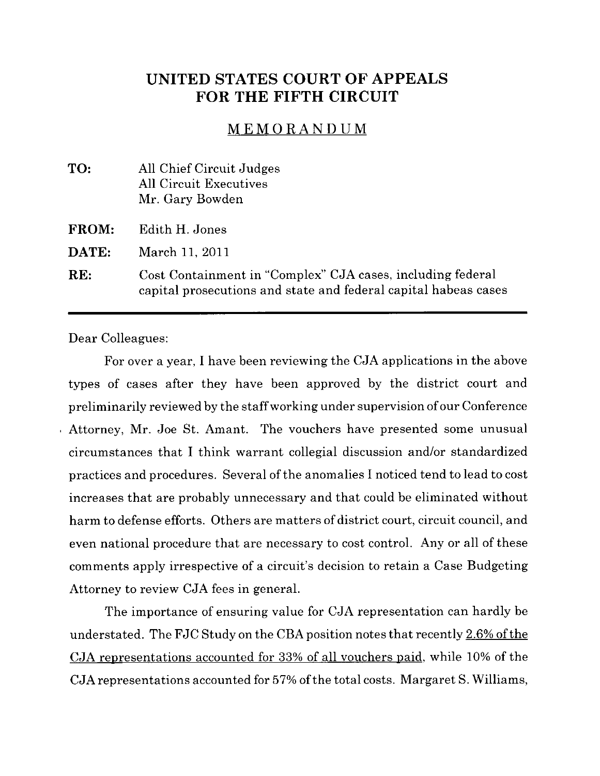# UNITED STATES COURT OF APPEALS FOR THE FIFTH CIRCUIT

### MEMORANDUM

| TO:          | All Chief Circuit Judges<br><b>All Circuit Executives</b><br>Mr. Gary Bowden                                                  |
|--------------|-------------------------------------------------------------------------------------------------------------------------------|
| <b>FROM:</b> | Edith H. Jones                                                                                                                |
| DATE:        | March 11, 2011                                                                                                                |
| RE:          | Cost Containment in "Complex" CJA cases, including federal<br>capital prosecutions and state and federal capital habeas cases |

Dear Colleagues:

For over a year, I have been reviewing the CJA applications in the above types of cases after they have been approved by the district court and preliminarily reviewed by the staff working under supervision of our Conference Attorney, Mr. Joe St. Amant. The vouchers have presented some unusual circumstances that I think warrant collegial discussion and/or standardized practices and procedures. Several of the anomalies I noticed tend to lead to cost increases that are probably unnecessary and that could be eliminated without harm to defense efforts. Others are matters of district court, circuit council, and even national procedure that are necessary to cost control. Any or all of these comments apply irrespective of a circuit's decision to retain a Case Budgeting Attorney to review CJA fees in general.

The importance of ensuring value for CJA representation can hardly be understated. The FJC Study on the CBA position notes that recently  $2.6\%$  of the CJA representations accounted for 33% of all vouchers paid, while 10% of the CJA representations accounted for 57% of the total costs. Margaret S. Williams,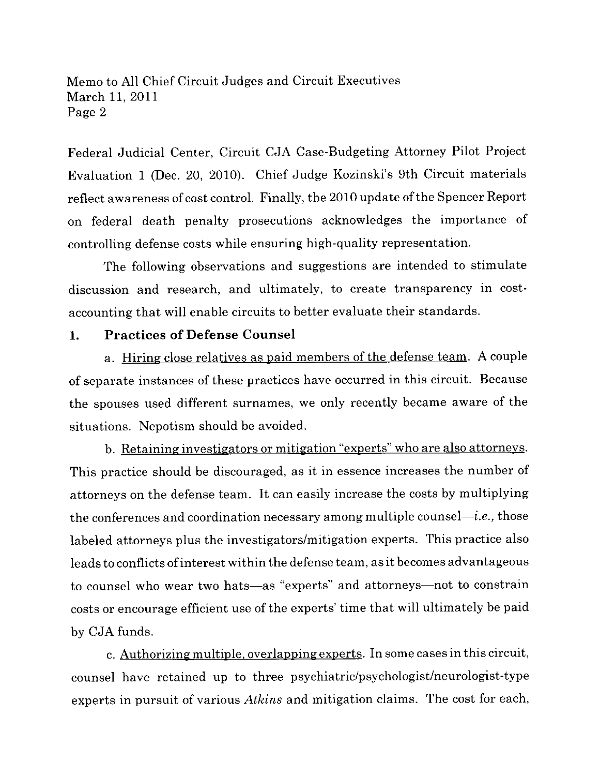Federal Judicial Center, Circuit CJA Case-Budgeting Attorney Pilot Project Evaluation 1 (Dec. 20, 2010). Chief Judge Kozinski's 9th Circuit materials reflect awareness of cost control. Finally, the 2010 update of the Spencer Report on federal death penalty prosecutions acknowledges the importance of controlling defense costs while ensuring high-quality representation.

The following observations and suggestions are intended to stimulate discussion and research, and ultimately, to create transparency in costaccounting that will enable circuits to better evaluate their standards.

#### 1. Practices of Defense Counsel

a. Hiring close relatives as paid members of the defense team. A couple of separate instances of these practices have occurred in this circuit. Because the spouses used different surnames, we only recently became aware of the situations. Nepotism should be avoided.

b. Retaining investigators or mitigation "experts" who are also attornevs. This practice should be discouraged, as it in essence increases the number of attorneys on the defense team. It can easily increase the costs by multiplying the conferences and coordination necessary among multiple counsel—*i.e.*, those labeled attorneys plus the investigators/mitigation experts. This practice also leads to conflicts of interest within the defense team, as it becomes advantageous to counsel who wear two hats-as "experts" and attorneys-not to constrain costs or encourage efficient use of the experts' time that will ultimately be paid by CJA funds.

c. Authorizing multiple, overlapping experts. In some cases in this circuit, counsel have retained up to three psychiatric/psychologist/neurologist-type experts in pursuit of various *Athins* and mitigation claims. The cost for each,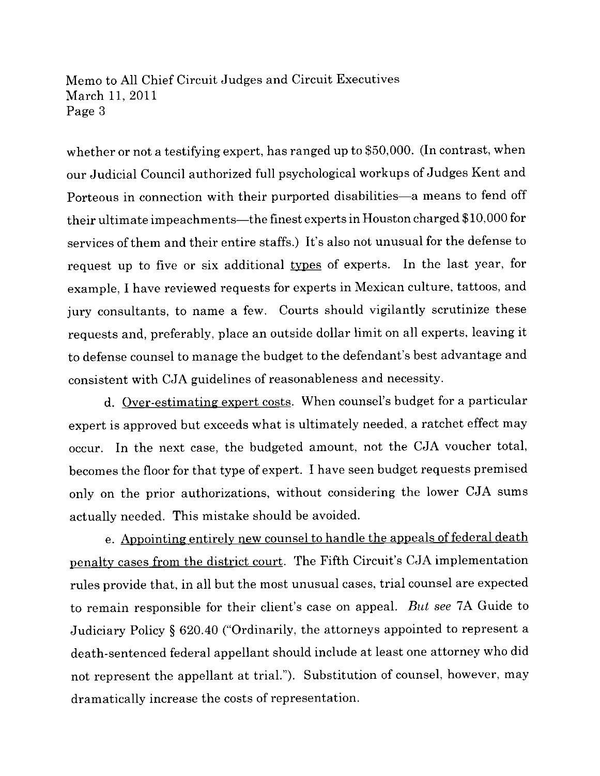whether or not a testifying expert, has ranged up to \$50,000. (In contrast, when our Judicial Council authorized full psychological workups of Judges Kent and Porteous in connection with their purported disabilities-a means to fend off their ultimate impeachments—the finest experts in Houston charged \$10,000 for services of them and their entire staffs.) It's also not unusual for the defense to request up to five or six additional types of experts. In the last year, for example, I have reviewed requests for experts in Mexican culture, tattoos, and jury consultants, to name a few. Courts should vigilantly scrutinize these requests and, preferably, place an outside dollar limit on all experts, leaving it to defense counsel to manage the budget to the defendant's best advantage and consistent with CJA guidelines of reasonableness and necessity.

d. Over-estimating expert costs. When counsel's budget for a particular expert is approved but exceeds what is ultimately needed, a ratchet effect may occur. In the next case, the budgeted amount, not the CJA voucher total, becomes the floor for that type of expert. I have seen budget requests premised only on the prior authorizations, without considering the lower CJA sums actually needed. This mistake should be avoided.

e. Appointing entirely new counsel to handle the appeals of federal death penalty cases from the district court. The Fifth Circuit's CJA implementation rules provide that, in all but the most unusual cases, trial counsel are expected to remain responsible for their client's case on appeal. But see 7A Guide to Judiciary Policy § 620.40 ("Ordinarily, the attorneys appointed to represent a death-sentenced federal appellant should include at least one attorney who did not represent the appellant at triaL"). Substitution of counsel, however, may dramatically increase the costs of representation.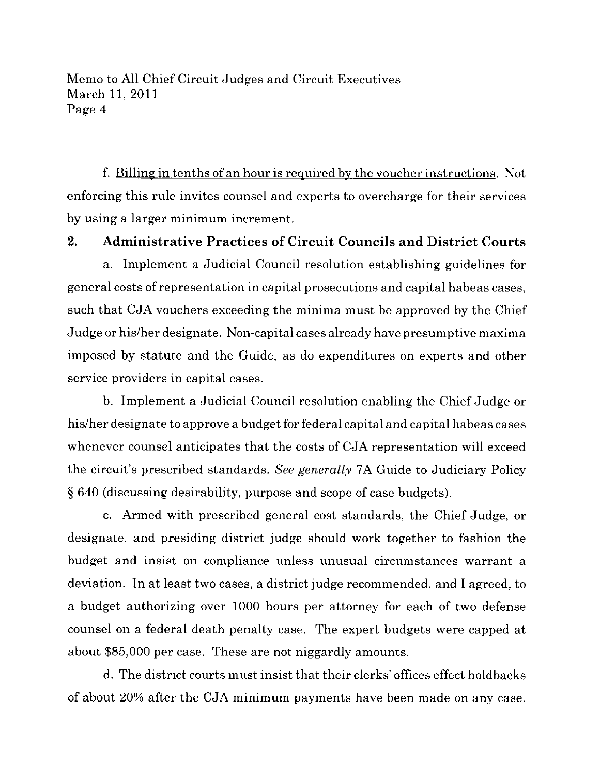f. Billing in tenths of an hour is required by the voucher instructions. Not enforcing this rule invites counsel and experts to overcharge for their services by using a larger minimum increment.

## 2. Administrative Practices of Circuit Councils and District Courts

a. Implement a Judicial Council resolution establishing guidelines for general costs of representation in capital prosecutions and capital habeas cases, such that CJA vouchers exceeding the minima must be approved by the Chief Judge or his/her designate. Non-capital cases already have presumptive maxima imposed by statute and the Guide, as do expenditures on experts and other service providers in capital cases.

b. Implement a Judicial Council resolution enabling the Chief Judge or his/her designate to approve a budget for federal capital and capital habeas cases whenever counsel anticipates that the costs of CJA representation will exceed the circuit's prescribed standards. See generally 7A Guide to Judiciary Policy § 640 (discussing desirability, purpose and scope of case budgets).

c. Armed with prescribed general cost standards, the Chief Judge, or designate, and presiding district judge should work together to fashion the budget and insist on compliance unless unusual circumstances warrant a deviation. In at least two cases, a district judge recommended, and I agreed, to a budget authorizing over 1000 hours per attorney for each of two defense counsel on a federal death penalty case. The expert budgets were capped at about \$85,000 per case. These are not niggardly amounts.

d. The district courts must insist that their clerks' offices effect holdbacks of about 20% after the CJA minimum payments have been made on any case.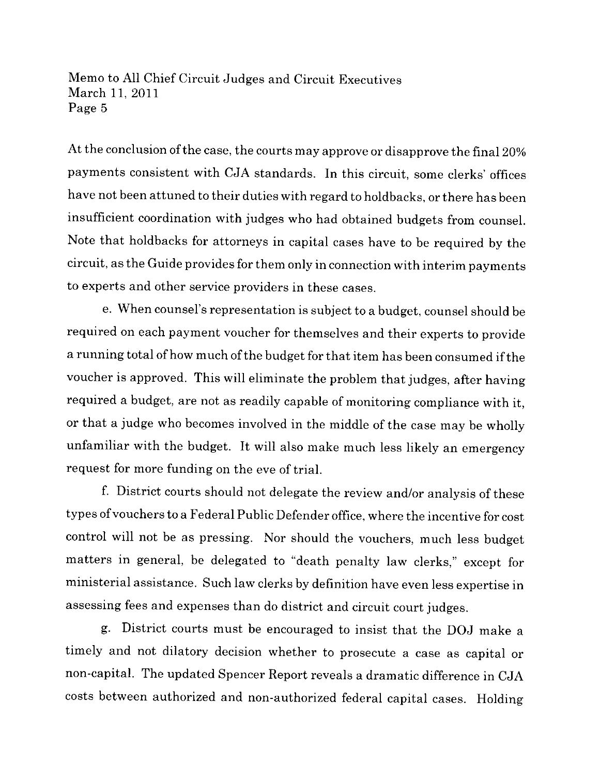At the conclusion of the case, the courts may approve or disapprove the final 20% payments consistent with CJA standards. In this circuit, some clerks' offices have not been attuned to their duties with regard to holdbacks, or there has been insufficient coordination with judges who had obtained budgets from counsel. Note that holdbacks for attorneys in capital cases have to be required by the circuit, as the Guide provides for them only in connection with interim payments to experts and other service providers in these cases.

e. When counsel's representation is subject to a budget, counsel should be required on each payment voucher for themselves and their experts to provide a running total of how much of the budget for that item has been consumed if the voucher is approved. This will eliminate the problem that judges, after having required a budget, are not as readily capable of monitoring compliance with it, or that a judge who becomes involved in the middle of the case may be wholly unfamiliar with the budget. It will also make much less likely an emergency request for more funding on the eve of triaL.

f. District courts should not delegate the review and/or analysis of these types of vouchers to a Federal Public Defender office, where the incentive for cost control will not be as pressing. Nor should the vouchers, much less budget matters in general, be delegated to "death penalty law clerks," except for ministerial assistance. Such law clerks by definition have even less expertise in assessing fees and expenses than do district and circuit court judges.

g. District courts must be encouraged to insist that the DOJ make a timely and not dilatory decision whether to prosecute a case as capital or non-capitaL. The updated Spencer Report reveals a dramatic difference in CJA costs between authorized and non-authorized federal capital cases. Holding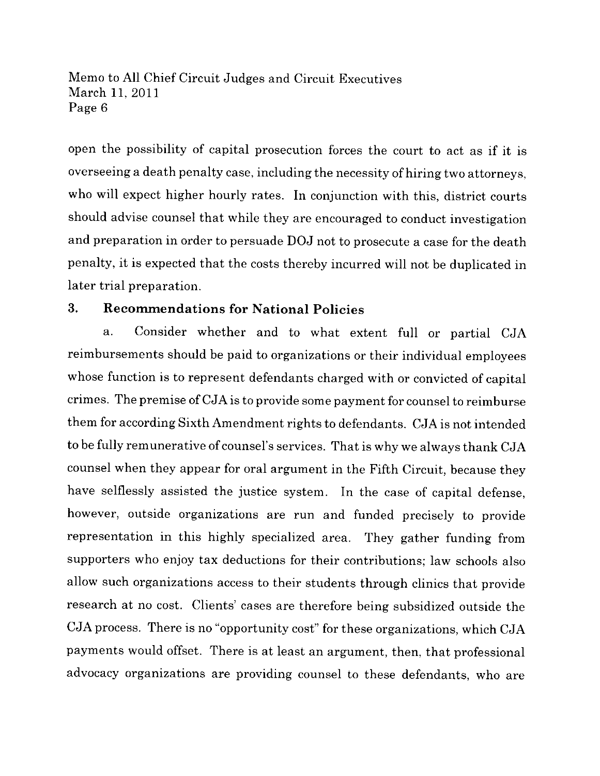open the possibility of capital prosecution forces the court to act as if it is overseeing a death penalty case, including the necessity of hiring two attorneys, who will expect higher hourly rates. In conjunction with this, district courts should advise counsel that while they are encouraged to conduct investigation and preparation in order to persuade DOJ not to prosecute a case for the death penalty, it is expected that the costs thereby incurred will not be duplicated in later trial preparation.

### 3. Recommendations for National Policies

a. Consider whether and to what extent full or partial CJA reimbursements should be paid to organizations or their individual employees whose function is to represent defendants charged with or convicted of capital crimes. The premise of CJA is to provide some payment for counsel to reimburse them for according Sixth Amendment rights to defendants. CJA is not intended to be fully remunerative of counsel's services. That is why we always thank CJA counsel when they appear for oral argument in the Fifth Circuit, because they have selflessly assisted the justice system. In the case of capital defense, however, outside organizations are run and funded precisely to provide representation in this highly specialized area. They gather funding from supporters who enjoy tax deductions for their contributions; law schools also allow such organizations access to their students through clinics that provide research at no cost. Clients' cases are therefore being subsidized outside the CJA process. There is no "opportunity cost" for these organizations, which CJA payments would offset. There is at least an argument, then, that professional advocacy organizations are providing counsel to these defendants, who are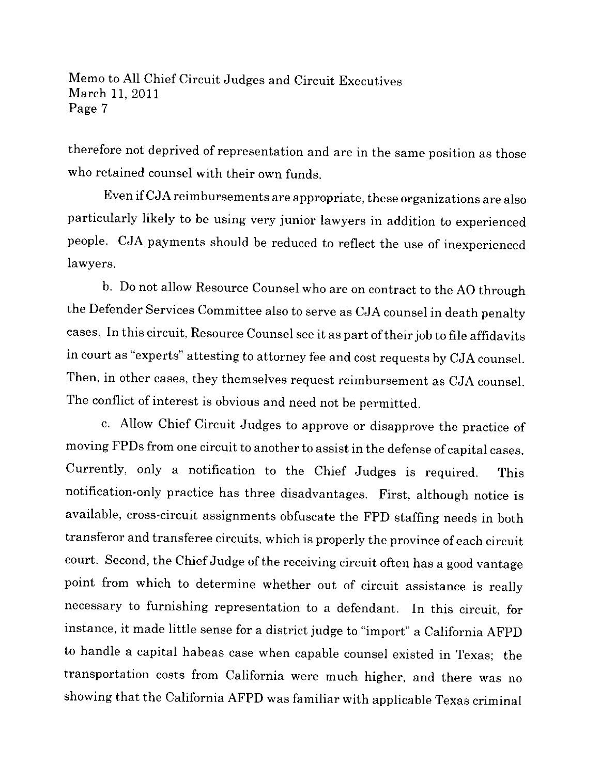therefore not deprived of representation and are in the same position as those who retained counsel with their own funds.

Even ifCJA reimbursements are appropriate, these organizations are also particularly likely to be using very junior lawyers in addition to experienced people. CJA payments should be reduced to reflect the use of inexperienced lawyers.

b. Do not allow Resource Counsel who are on contract to the AO through the Defender Services Committee also to serve as CJA counsel in death penalty cases. In this circuit, Resource Counsel see it as part of their job to file affidavits in court as "experts" attesting to attorney fee and cost requests by CJA counseL. Then, in other cases, they themselves request reimbursement as CJA counseL. The conflict of interest is obvious and need not be permitted.

c. Allow Chief Circuit Judges to approve or disapprove the practice of moving FPDs from one circuit to another to assist in the defense of capital cases. Currently, only a notification to the Chief Judges is required. This notification-only practice has three disadvantages. First, although notice is available, cross-circuit assignments obfuscate the FPD staffing needs in both transferor and transferee circuits, which is properly the province of each circuit court. Second, the Chief Judge of the receiving circuit often has a good vantage point from which to determine whether out of circuit assistance is really necessary to furnishing representation to a defendant. In this circuit, for instance, it made little sense for a district judge to "import" a California AFPD to handle a capital habeas case when capable counsel existed in Texas; the transportation costs from California were much higher, and there was no showing that the California AFPD was familiar with applicable Texas criminal